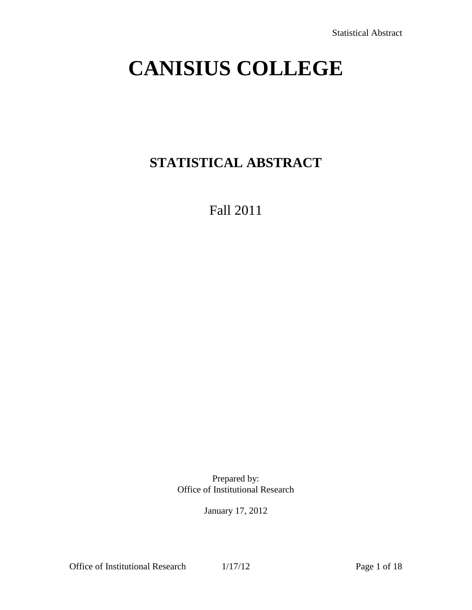# **CANISIUS COLLEGE**

## **STATISTICAL ABSTRACT**

Fall 2011

Prepared by: Office of Institutional Research

January 17, 2012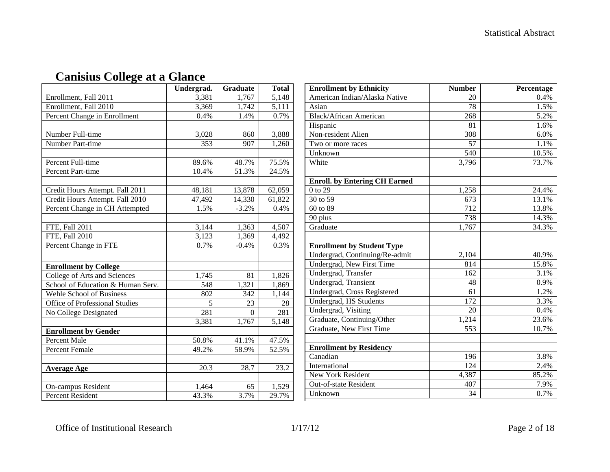|                                       | Undergrad. | <b>Graduate</b> | <b>Total</b> |
|---------------------------------------|------------|-----------------|--------------|
| Enrollment, Fall 2011                 | 3,381      | 1,767           | 5,148        |
| Enrollment, Fall 2010                 | 3,369      | 1,742           | 5,111        |
| Percent Change in Enrollment          | 0.4%       | 1.4%            | 0.7%         |
|                                       |            |                 |              |
| Number Full-time                      | 3,028      | 860             | 3,888        |
| Number Part-time                      | 353        | 907             | 1,260        |
|                                       |            |                 |              |
| Percent Full-time                     | 89.6%      | 48.7%           | 75.5%        |
| Percent Part-time                     | 10.4%      | 51.3%           | 24.5%        |
|                                       |            |                 |              |
| Credit Hours Attempt. Fall 2011       | 48,181     | 13,878          | 62,059       |
| Credit Hours Attempt. Fall 2010       | 47,492     | 14,330          | 61,822       |
| Percent Change in CH Attempted        | 1.5%       | $-3.2%$         | 0.4%         |
|                                       |            |                 |              |
| FTE, Fall $20\overline{11}$           | 3,144      | 1,363           | 4,507        |
| FTE, Fall 2010                        | 3,123      | 1,369           | 4,492        |
| Percent Change in FTE                 | 0.7%       | $-0.4%$         | 0.3%         |
|                                       |            |                 |              |
| <b>Enrollment by College</b>          |            |                 |              |
| College of Arts and Sciences          | 1,745      | 81              | 1,826        |
| School of Education & Human Serv.     | 548        | 1,321           | 1,869        |
| Wehle School of Business              | 802        | 342             | 1,144        |
| <b>Office of Professional Studies</b> | 5          | 23              | 28           |
| No College Designated                 | 281        | $\theta$        | 281          |
|                                       | 3,381      | 1,767           | 5,148        |
| <b>Enrollment by Gender</b>           |            |                 |              |
| <b>Percent Male</b>                   | 50.8%      | 41.1%           | 47.5%        |
| <b>Percent Female</b>                 | 49.2%      | 58.9%           | 52.5%        |
|                                       |            |                 |              |
| <b>Average Age</b>                    | 20.3       | 28.7            | 23.2         |
|                                       |            |                 |              |
| On-campus Resident                    | 1,464      | 65              | 1,529        |
| <b>Percent Resident</b>               | 43.3%      | 3.7%            | 29.7%        |

## **Canisius College at a Glance**

| <b>Enrollment by Ethnicity</b>       | <b>Number</b>    | Percentage |
|--------------------------------------|------------------|------------|
| American Indian/Alaska Native        | 20               | 0.4%       |
| Asian                                | $\overline{78}$  | 1.5%       |
| <b>Black/African American</b>        | 268              | 5.2%       |
| Hispanic                             | 81               | 1.6%       |
| Non-resident Alien                   | 308              | 6.0%       |
| Two or more races                    | 57               | 1.1%       |
| Unknown                              | 540              | 10.5%      |
| White                                | 3,796            | 73.7%      |
|                                      |                  |            |
| <b>Enroll. by Entering CH Earned</b> |                  |            |
| 0 to 29                              | 1,258            | 24.4%      |
| 30 to 59                             | 673              | 13.1%      |
| 60 to 89                             | 712              | 13.8%      |
| 90 plus                              | 738              | 14.3%      |
| Graduate                             | 1,767            | 34.3%      |
|                                      |                  |            |
| <b>Enrollment by Student Type</b>    |                  |            |
| Undergrad, Continuing/Re-admit       | 2,104            | 40.9%      |
| Undergrad, New First Time            | 814              | 15.8%      |
| Undergrad, Transfer                  | 162              | 3.1%       |
| <b>Undergrad</b> , Transient         | 48               | 0.9%       |
| Undergrad, Cross Registered          | 61               | 1.2%       |
| <b>Undergrad, HS Students</b>        | $\overline{172}$ | 3.3%       |
| Undergrad, Visiting                  | 20               | 0.4%       |
| Graduate, Continuing/Other           | 1,214            | 23.6%      |
| Graduate, New First Time             | $\overline{553}$ | 10.7%      |
|                                      |                  |            |
| <b>Enrollment by Residency</b>       |                  |            |
| Canadian                             | 196              | 3.8%       |
| International                        | 124              | 2.4%       |
| New York Resident                    | 4,387            | 85.2%      |
| Out-of-state Resident                | 407              | 7.9%       |
| Unknown                              | $\overline{34}$  | 0.7%       |

Office of Institutional Research 1/17/12 Page 2 of 18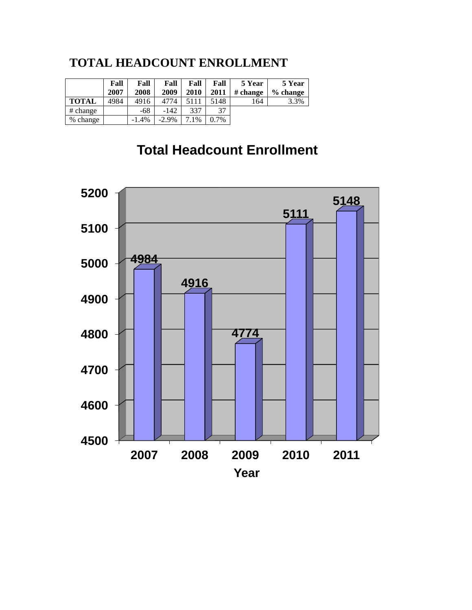#### **TOTAL HEADCOUNT ENROLLMENT**

|              | Fall<br>2007 | Fall<br>2008 | Fall<br>2009 | Fall<br>2010 | Fall<br>2011 | 5 Year<br># change | 5 Year<br>% change |
|--------------|--------------|--------------|--------------|--------------|--------------|--------------------|--------------------|
| <b>TOTAL</b> | 4984         | 4916         | 4774         | 5111         | 5148         | 164                | 3.3%               |
| # change     |              | -68          | $-142$       | 337          | 37           |                    |                    |
| % change     |              | $-1.4%$      | $-2.9\%$     | 7.1%         | $0.7\%$      |                    |                    |

## **Total Headcount Enrollment**

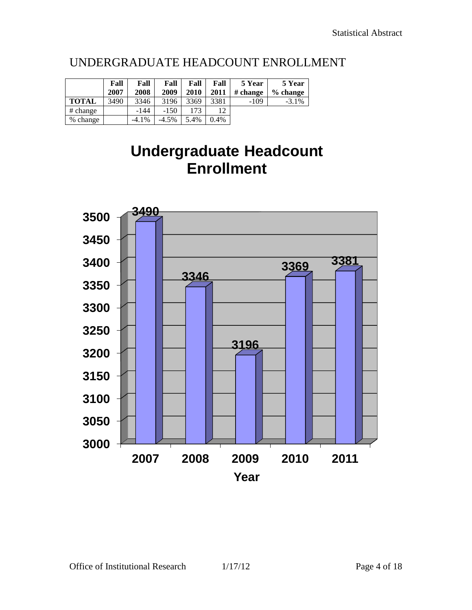|              | Fall<br>2007 | Fall<br>2008 | Fall<br>2009 | Fall<br>2010 | Fall<br>2011 | 5 Year<br># change | 5 Year<br>$%$ change |
|--------------|--------------|--------------|--------------|--------------|--------------|--------------------|----------------------|
| <b>TOTAL</b> | 3490         | 3346         | 3196         | 3369         | 3381         | $-109$             | $-3.1\%$             |
| # change     |              | -144         | $-150$       | 173          | 1 າ          |                    |                      |
| % change     |              | $-4.1\%$     | $-4.5%$      | 5.4%         | 0.4%         |                    |                      |

## UNDERGRADUATE HEADCOUNT ENROLLMENT

## **Undergraduate Headcount Enrollment**

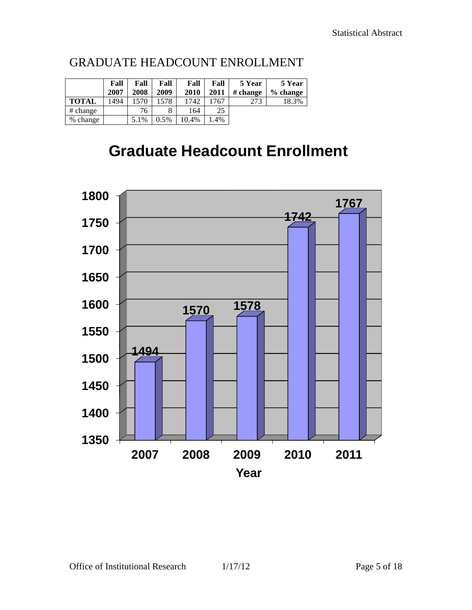|              | Fall<br>2007 | Fall<br>2008 | Fall<br>2009 | Fall<br>2010 | Fall<br>2011 | 5 Year<br># change | 5 Year<br>$%$ change |
|--------------|--------------|--------------|--------------|--------------|--------------|--------------------|----------------------|
| <b>TOTAL</b> | 1494         | 1570         | 1578         | 1742         | 767          | 273                | 18.3%                |
| # change     |              | 76           |              | 164          | 25           |                    |                      |
| % change     |              | 5.1%         | 0.5%         | $10.4\%$     | .4%          |                    |                      |

### GRADUATE HEADCOUNT ENROLLMENT

## **Graduate Headcount Enrollment**

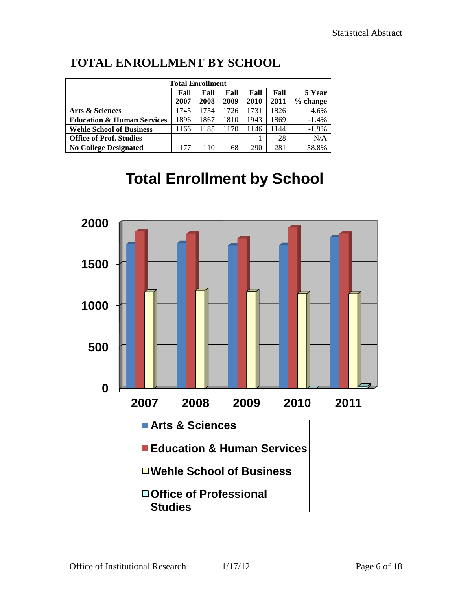| <b>Total Enrollment</b>               |      |      |      |      |      |          |  |  |  |  |  |
|---------------------------------------|------|------|------|------|------|----------|--|--|--|--|--|
| Fall<br>Fall<br>Fall<br>Fall<br>Fall  |      |      |      |      |      |          |  |  |  |  |  |
|                                       | 2007 | 2008 | 2009 | 2010 | 2011 | % change |  |  |  |  |  |
| <b>Arts &amp; Sciences</b>            | 1745 | 1754 | 1726 | 1731 | 1826 | 4.6%     |  |  |  |  |  |
| <b>Education &amp; Human Services</b> | 1896 | 1867 | 1810 | 1943 | 1869 | $-1.4%$  |  |  |  |  |  |
| <b>Wehle School of Business</b>       | 1166 | 1185 | 1170 | 1146 | 1144 | $-1.9%$  |  |  |  |  |  |
| <b>Office of Prof. Studies</b>        |      |      |      |      | 28   | N/A      |  |  |  |  |  |
| <b>No College Designated</b>          | 177  | 110  | 68   | 290  | 281  | 58.8%    |  |  |  |  |  |

## **TOTAL ENROLLMENT BY SCHOOL**

## **Total Enrollment by School**

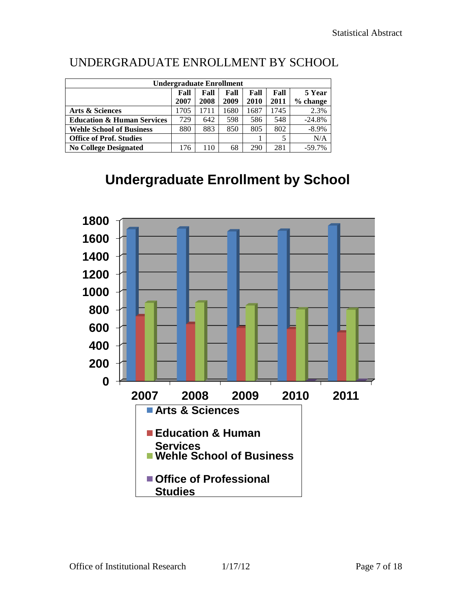|                                       | <b>Undergraduate Enrollment</b>      |      |      |      |      |          |  |  |  |  |  |  |
|---------------------------------------|--------------------------------------|------|------|------|------|----------|--|--|--|--|--|--|
|                                       | Fall<br>Fall<br>Fall<br>Fall<br>Fall |      |      |      |      |          |  |  |  |  |  |  |
|                                       | 2007                                 | 2008 | 2009 | 2010 | 2011 | % change |  |  |  |  |  |  |
| <b>Arts &amp; Sciences</b>            | 1705                                 | 1711 | 1680 | 1687 | 1745 | 2.3%     |  |  |  |  |  |  |
| <b>Education &amp; Human Services</b> | 729                                  | 642  | 598  | 586  | 548  | $-24.8%$ |  |  |  |  |  |  |
| <b>Wehle School of Business</b>       | 880                                  | 883  | 850  | 805  | 802  | $-8.9\%$ |  |  |  |  |  |  |
| <b>Office of Prof. Studies</b>        |                                      |      |      |      | 5    | N/A      |  |  |  |  |  |  |
| <b>No College Designated</b>          | 176                                  | 110  | 68   | 290  | 281  | $-59.7%$ |  |  |  |  |  |  |

## UNDERGRADUATE ENROLLMENT BY SCHOOL

## **Undergraduate Enrollment by School**

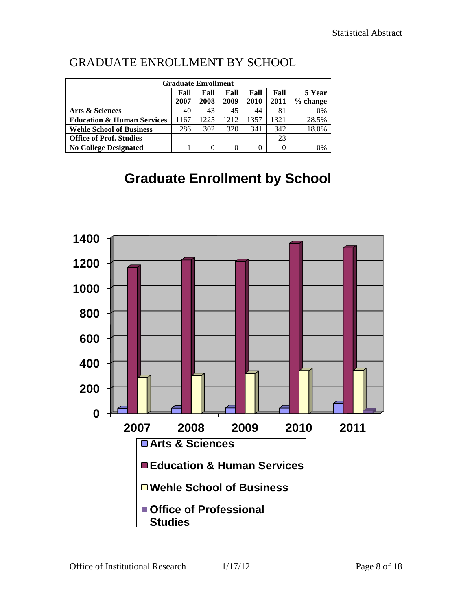## GRADUATE ENROLLMENT BY SCHOOL

|                                       | <b>Graduate Enrollment</b> |        |      |      |          |          |
|---------------------------------------|----------------------------|--------|------|------|----------|----------|
|                                       | Fall                       | 5 Year |      |      |          |          |
|                                       | 2007                       | 2008   | 2009 | 2010 | 2011     | % change |
| Arts & Sciences                       | 40                         | 43     | 45   | 44   | 81       | 0%       |
| <b>Education &amp; Human Services</b> | 1167                       | 1225   | 1212 | 1357 | 1321     | 28.5%    |
| <b>Wehle School of Business</b>       | 286                        | 302    | 320  | 341  | 342      | 18.0%    |
| <b>Office of Prof. Studies</b>        |                            |        |      |      | 23       |          |
| <b>No College Designated</b>          |                            | 0      | 0    |      | $\Omega$ | 0%       |

## **Graduate Enrollment by School**

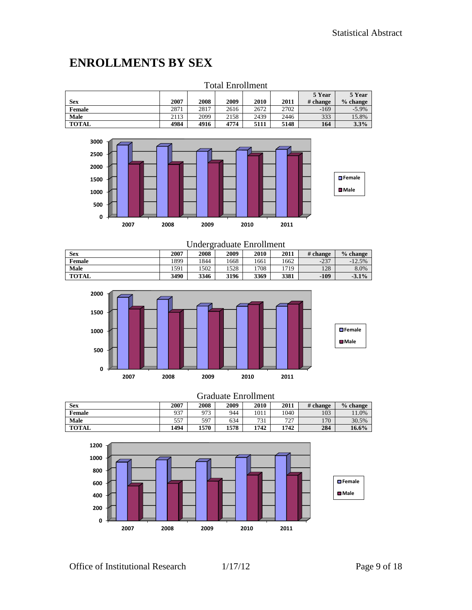### **ENROLLMENTS BY SEX**

|               | тоқағ елгоншеш |      |      |      |      |          |            |  |  |  |  |  |
|---------------|----------------|------|------|------|------|----------|------------|--|--|--|--|--|
|               |                |      |      |      |      | 5 Year   | 5 Year     |  |  |  |  |  |
| Sex           | 2007           | 2008 | 2009 | 2010 | 2011 | # change | $%$ change |  |  |  |  |  |
| <b>Female</b> | 2871           | 2817 | 2616 | 2672 | 2702 | $-169$   | $-5.9%$    |  |  |  |  |  |
| Male          | 2113           | 2099 | 2158 | 2439 | 2446 | 333      | 15.8%      |  |  |  |  |  |
| <b>TOTAL</b>  | 4984           | 4916 | 4774 | 5111 | 5148 | 164      | 3.3%       |  |  |  |  |  |





| Undergraduate Enrollment |      |      |      |      |      |          |            |  |  |  |
|--------------------------|------|------|------|------|------|----------|------------|--|--|--|
| <b>Sex</b>               | 2007 | 2008 | 2009 | 2010 | 2011 | # change | $%$ change |  |  |  |
| Female                   | 1899 | 1844 | 1668 | 1661 | 1662 | $-237$   | $-12.5%$   |  |  |  |
| Male                     | 1591 | 1502 | 528  | 1708 | 1719 | 128      | 8.0%       |  |  |  |
| <b>TOTAL</b>             | 3490 | 3346 | 3196 | 3369 | 3381 | $-109$   | $-3.1\%$   |  |  |  |



|               | <b>Graduate Enrollment</b> |      |      |      |      |          |            |  |  |
|---------------|----------------------------|------|------|------|------|----------|------------|--|--|
| <b>Sex</b>    | 2007                       | 2008 | 2009 | 2010 | 2011 | # change | $%$ change |  |  |
| <b>Female</b> | 937                        | 973  | 944  | 1011 | 1040 | 103      | 11.0%      |  |  |
| Male          | 557                        | 597  | 634  | 731  | 727  | 170      | 30.5%      |  |  |
| TOTAL         | 1494                       | 1570 | 1578 | 1742 | 1742 | 284      | $16.6\%$   |  |  |

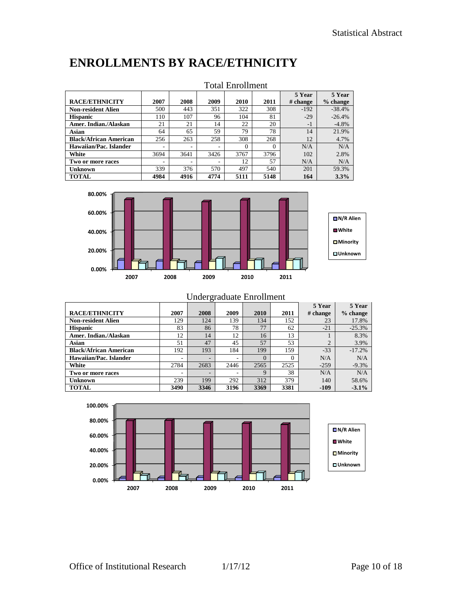## **ENROLLMENTS BY RACE/ETHNICITY**

|                               | толаг шиглингин |      |      |          |          |          |            |  |  |  |
|-------------------------------|-----------------|------|------|----------|----------|----------|------------|--|--|--|
|                               |                 |      |      |          |          | 5 Year   | 5 Year     |  |  |  |
| <b>RACE/ETHNICITY</b>         | 2007            | 2008 | 2009 | 2010     | 2011     | # change | $%$ change |  |  |  |
| <b>Non-resident Alien</b>     | 500             | 443  | 351  | 322      | 308      | $-192$   | $-38.4%$   |  |  |  |
| <b>Hispanic</b>               | 110             | 107  | 96   | 104      | 81       | $-29$    | $-26.4%$   |  |  |  |
| Amer. Indian./Alaskan         | 21              | 21   | 14   | 22       | 20       | $-1$     | $-4.8%$    |  |  |  |
| Asian                         | 64              | 65   | 59   | 79       | 78       | 14       | 21.9%      |  |  |  |
| <b>Black/African American</b> | 256             | 263  | 258  | 308      | 268      | 12       | 4.7%       |  |  |  |
| Hawaiian/Pac. Islander        | -               | -    |      | $\Omega$ | $\Omega$ | N/A      | N/A        |  |  |  |
| White                         | 3694            | 3641 | 3426 | 3767     | 3796     | 102      | 2.8%       |  |  |  |
| Two or more races             | -               |      |      | 12       | 57       | N/A      | N/A        |  |  |  |
| <b>Unknown</b>                | 339             | 376  | 570  | 497      | 540      | 201      | 59.3%      |  |  |  |
| <b>TOTAL</b>                  | 4984            | 4916 | 4774 | 5111     | 5148     | 164      | 3.3%       |  |  |  |

#### Total Enrollment



|                               | Undergraduate Enrollment |      |      |              |          |                    |                      |  |  |  |  |  |
|-------------------------------|--------------------------|------|------|--------------|----------|--------------------|----------------------|--|--|--|--|--|
| <b>RACE/ETHNICITY</b>         | 2007                     | 2008 | 2009 | 2010         | 2011     | 5 Year<br># change | 5 Year<br>$%$ change |  |  |  |  |  |
| <b>Non-resident Alien</b>     | 129                      | 124  | 139  | 134          | 152      | 23                 | 17.8%                |  |  |  |  |  |
| <b>Hispanic</b>               | 83                       | 86   | 78   | 77           | 62       | $-21$              | $-25.3%$             |  |  |  |  |  |
| Amer. Indian./Alaskan         | 12                       | 14   | 12   | 16           | 13       |                    | 8.3%                 |  |  |  |  |  |
| Asian                         | 51                       | 47   | 45   | 57           | 53       | $\mathfrak{D}$     | 3.9%                 |  |  |  |  |  |
| <b>Black/African American</b> | 192                      | 193  | 184  | 199          | 159      | $-33$              | $-17.2%$             |  |  |  |  |  |
| Hawaiian/Pac. Islander        | ۰                        |      |      | $\Omega$     | $\Omega$ | N/A                | N/A                  |  |  |  |  |  |
| White                         | 2784                     | 2683 | 2446 | 2565         | 2525     | $-259$             | $-9.3%$              |  |  |  |  |  |
| Two or more races             | ۰                        | -    |      | $\mathbf{Q}$ | 38       | N/A                | N/A                  |  |  |  |  |  |
| Unknown                       | 239                      | 199  | 292  | 312          | 379      | 140                | 58.6%                |  |  |  |  |  |
| <b>TOTAL</b>                  | 3490                     | 3346 | 3196 | 3369         | 3381     | $-109$             | $-3.1%$              |  |  |  |  |  |

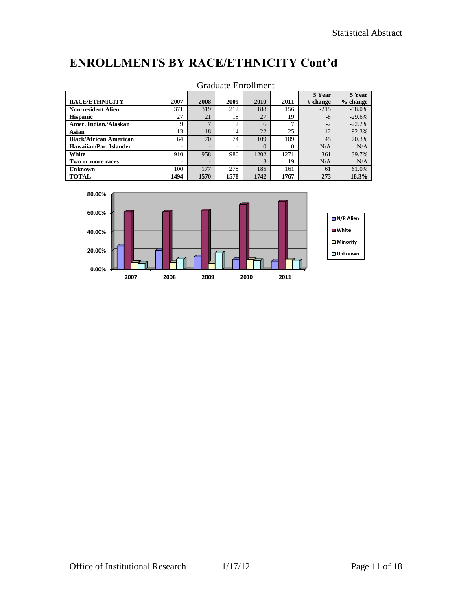## **ENROLLMENTS BY RACE/ETHNICITY Cont'd**

|                               |      |      |      | OTAGUAN LIIIOIIIIUIN |          |          |            |
|-------------------------------|------|------|------|----------------------|----------|----------|------------|
|                               |      |      |      |                      |          | 5 Year   | 5 Year     |
| <b>RACE/ETHNICITY</b>         | 2007 | 2008 | 2009 | 2010                 | 2011     | # change | $%$ change |
| <b>Non-resident Alien</b>     | 371  | 319  | 212  | 188                  | 156      | $-215$   | $-58.0%$   |
| <b>Hispanic</b>               | 27   | 21   | 18   | 27                   | 19       | $-8$     | $-29.6%$   |
| Amer. Indian./Alaskan         | 9    | −    | 2    | 6                    |          | $-2$     | $-22.2%$   |
| Asian                         | 13   | 18   | 14   | 22                   | 25       | 12       | 92.3%      |
| <b>Black/African American</b> | 64   | 70   | 74   | 109                  | 109      | 45       | 70.3%      |
| Hawaiian/Pac. Islander        | ۰    |      | ۰    | $\Omega$             | $\Omega$ | N/A      | N/A        |
| White                         | 910  | 958  | 980  | 1202                 | 1271     | 361      | 39.7%      |
| Two or more races             | ۰    | -    | ۰    | 3                    | 19       | N/A      | N/A        |
| Unknown                       | 100  | 177  | 278  | 185                  | 161      | 61       | 61.0%      |
| <b>TOTAL</b>                  | 1494 | 1570 | 1578 | 1742                 | 1767     | 273      | 18.3%      |



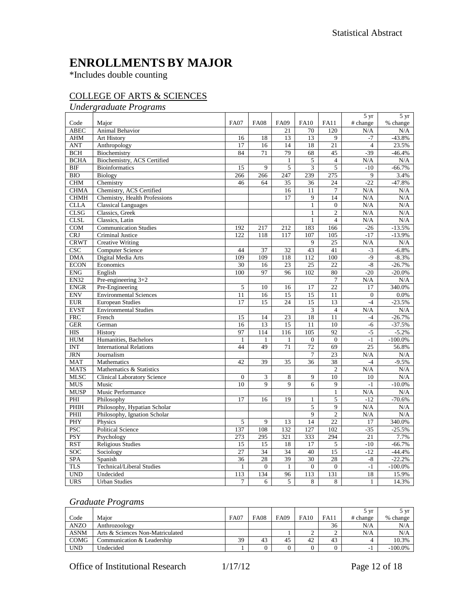### **ENROLLMENTSBY MAJOR**

\*Includes double counting

#### COLLEGE OF ARTS & SCIENCES

#### *Undergraduate Programs*

|                   |                                    |                  |                  |                |                             |                  | $5 \text{ yr}$  | 5 yr       |
|-------------------|------------------------------------|------------------|------------------|----------------|-----------------------------|------------------|-----------------|------------|
| Code              | Major                              | <b>FA07</b>      | <b>FA08</b>      | <b>FA09</b>    | <b>FA10</b>                 | <b>FA11</b>      | # change        | % change   |
| <b>ABEC</b>       | Animal Behavior                    |                  |                  | 21             | 70                          | 120              | N/A             | N/A        |
| <b>AHM</b>        | Art History                        | 16               | 18               | 13             | 13                          | 9                | $-7$            | $-43.8%$   |
| <b>ANT</b>        | Anthropology                       | 17               | 16               | 14             | 18                          | 21               | $\overline{4}$  | 23.5%      |
| $\overline{BCH}$  | Biochemistry                       | 84               | 71               | 79             | 68                          | $\overline{45}$  | $-39$           | $-46.4%$   |
| <b>BCHA</b>       | Biochemistry, ACS Certified        |                  |                  | 1              | 5                           | $\overline{4}$   | N/A             | N/A        |
| $\overline{BIF}$  | <b>Bioinformatics</b>              | 15               | 9                | 5              | $\ensuremath{\mathfrak{Z}}$ | 5                | $-10$           | $-66.7%$   |
| <b>BIO</b>        | Biology                            | 266              | 266              | 247            | 239                         | 275              | 9               | 3.4%       |
| <b>CHM</b>        | Chemistry                          | 46               | 64               | 35             | 36                          | $\overline{24}$  | $-22$           | $-47.8%$   |
| <b>CHMA</b>       | Chemistry, ACS Certified           |                  |                  | 16             | 11                          | $\overline{7}$   | N/A             | N/A        |
| <b>CHMH</b>       | Chemistry, Health Professions      |                  |                  | 17             | 9                           | 14               | N/A             | N/A        |
| <b>CLLA</b>       | <b>Classical Languages</b>         |                  |                  |                | 1                           | $\overline{0}$   | N/A             | N/A        |
| <b>CLSG</b>       | Classics, Greek                    |                  |                  |                | 1                           | $\overline{c}$   | N/A             | N/A        |
| <b>CLSL</b>       | Classics, Latin                    |                  |                  |                | 1                           | $\overline{4}$   | N/A             | N/A        |
| COM               | <b>Communication Studies</b>       | 192              | 217              | 212            | 183                         | 166              | $-26$           | $-13.5%$   |
| <b>CRJ</b>        | Criminal Justice                   | 122              | 118              | 117            | 107                         | 105              | $-17$           | $-13.9%$   |
| <b>CRWT</b>       | <b>Creative Writing</b>            |                  |                  |                | 9                           | $\overline{25}$  | N/A             | N/A        |
| $\overline{\csc}$ | Computer Science                   | 44               | 37               | 32             | 43                          | 41               | $-3$            | $-6.8%$    |
| <b>DMA</b>        | Digital Media Arts                 | 109              | 109              | 118            | 112                         | 100              | $-9$            | $-8.3%$    |
| <b>ECON</b>       | Economics                          | 30               | 16               | 23             | 25                          | 22               | $-8$            | $-26.7%$   |
| <b>ENG</b>        | English                            | 100              | 97               | 96             | 102                         | 80               | $-20$           | $-20.0\%$  |
| <b>EN32</b>       | Pre-engineering $3+2$              |                  |                  |                |                             | $\overline{7}$   | N/A             | N/A        |
| <b>ENGR</b>       | Pre-Engineering                    | 5                | 10               | 16             | 17                          | $\overline{22}$  | 17              | 340.0%     |
| <b>ENV</b>        | <b>Environmental Sciences</b>      | 11               | 16               | 15             | $\overline{15}$             | 11               | $\Omega$        | 0.0%       |
| <b>EUR</b>        | <b>European Studies</b>            | 17               | 15               | 24             | $\overline{15}$             | 13               | $-4$            | $-23.5%$   |
| <b>EVST</b>       | <b>Environmental Studies</b>       |                  |                  |                | 3                           | $\overline{4}$   | N/A             | N/A        |
| <b>FRC</b>        | French                             | 15               | 14               | 23             | 18                          | 11               | $-4$            | $-26.7%$   |
| <b>GER</b>        | German                             | 16               | 13               | 15             | 11                          | 10               | $-6$            | $-37.5%$   |
| <b>HIS</b>        | History                            | 97               | 114              | 116            | 105                         | 92               | $-5$            | $-5.2%$    |
| <b>HUM</b>        | Humanities, Bachelors              | $\mathbf{1}$     | $\mathbf{1}$     | 1              | $\theta$                    | $\overline{0}$   | $-1$            | $-100.0%$  |
| <b>INT</b>        | <b>International Relations</b>     | 44               | 49               | 71             | 72                          | 69               | 25              | 56.8%      |
| <b>JRN</b>        | Journalism                         |                  |                  |                | $\overline{7}$              | 23               | N/A             | N/A        |
| <b>MAT</b>        | Mathematics                        | 42               | 39               | 35             | 36                          | 38               | $-4$            | $-9.5%$    |
| <b>MATS</b>       | Mathematics & Statistics           |                  |                  |                |                             | $\overline{2}$   | N/A             | N/A        |
| <b>MLSC</b>       | <b>Clinical Laboratory Science</b> | $\boldsymbol{0}$ | 3                | $\,8\,$        | $\overline{9}$              | 10               | 10              | N/A        |
| <b>MUS</b>        | Music                              | 10               | $\overline{9}$   | $\overline{9}$ | 6                           | $\overline{9}$   | $-1$            | $-10.0\%$  |
| <b>MUSP</b>       | Music Performance                  |                  |                  |                |                             | $\mathbf{1}$     | N/A             | N/A        |
| PHI               | Philosophy                         | 17               | 16               | 19             | 1                           | 5                | $-12$           | $-70.6%$   |
| PHIH              | Philosophy, Hypatian Scholar       |                  |                  |                | $\overline{5}$              | 9                | N/A             | N/A        |
| PHII              | Philosophy, Ignation Scholar       |                  |                  |                | $\overline{9}$              | $\overline{2}$   | N/A             | N/A        |
| PHY               | Physics                            | 5                | 9                | 13             | 14                          | 22               | 17              | 340.0%     |
| <b>PSC</b>        | <b>Political Science</b>           | 137              | 108              | 132            | 127                         | 102              | $-35$           | $-25.5%$   |
| PSY               | Psychology                         | $\overline{273}$ | 295              | 321            | 333                         | 294              | $\overline{21}$ | 7.7%       |
| <b>RST</b>        | <b>Religious Studies</b>           | $\overline{15}$  | $\overline{15}$  | 18             | 17                          | 5                | $-10$           | $-66.7%$   |
| SOC               | Sociology                          | 27               | 34               | 34             | 40                          | 15               | $-12$           | $-44.4%$   |
| <b>SPA</b>        | Spanish                            | $\overline{36}$  | 28               | 39             | 30                          | 28               | $-8$            | $-22.2%$   |
| <b>TLS</b>        | <b>Technical/Liberal Studies</b>   | $\mathbf{1}$     | $\boldsymbol{0}$ | $\mathbf{1}$   | $\boldsymbol{0}$            | $\boldsymbol{0}$ | $-1$            | $-100.0\%$ |
| <b>UND</b>        | Undecided                          | 113              | 134              | 96             | 113                         | 131              | 18              | 15.9%      |
| <b>URS</b>        | <b>Urban Studies</b>               | $\overline{7}$   | 6                | 5              | 8                           | 8                | $\mathbf{1}$    | 14.3%      |

#### *Graduate Programs*

|             |                                  |             |             |             |             |             | .5 vr<br>◡ | 5 vr      |
|-------------|----------------------------------|-------------|-------------|-------------|-------------|-------------|------------|-----------|
| Code        | Maior                            | <b>FA07</b> | <b>FA08</b> | <b>FA09</b> | <b>FA10</b> | <b>FA11</b> | # change   | % change  |
| <b>ANZO</b> | Anthrozoology                    |             |             |             |             | 36          | N/A        | N/A       |
| <b>ASNM</b> | Arts & Sciences Non-Matriculated |             |             |             |             |             | N/A        | N/A       |
| <b>COMG</b> | Communication & Leadership       | 39          | 43          | 45          | 42          | 43          |            | 10.3%     |
| <b>UND</b>  | Undecided                        |             |             |             |             |             |            | $-100.0%$ |

Office of Institutional Research 1/17/12 Page 12 of 18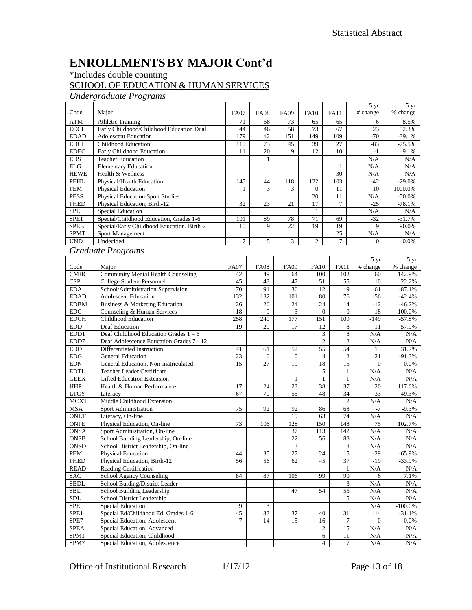## **ENROLLMENTSBY MAJOR Cont'd**

#### \*Includes double counting

#### SCHOOL OF EDUCATION & HUMAN SERVICES

*Undergraduate Programs*

| Code                      | Major                                      | <b>FA07</b>    | <b>FA08</b> | <b>FA09</b>    | <b>FA10</b>      | <b>FA11</b>     | 5 yr<br># change  | 5 yr<br>% change |
|---------------------------|--------------------------------------------|----------------|-------------|----------------|------------------|-----------------|-------------------|------------------|
| <b>ATM</b>                | <b>Athletic Training</b>                   | 71             | 68          | 73             | 65               | 65              | $-6$              | $-8.5%$          |
| <b>ECCH</b>               | Early Childhood/Childhood Education Dual   | 44             | 46          | 58             | 73               | 67              | 23                | 52.3%            |
| <b>EDAD</b>               | <b>Adolescent Education</b>                | 179            | 142         | 151            | 149              | 109             | $-70$             | $-39.1%$         |
| <b>EDCH</b>               | <b>Childhood Education</b>                 | 110            | 73          | 45             | 39               | 27              | $-83$             | $-75.5%$         |
| <b>EDEC</b>               | Early Childhood Education                  | 11             | 20          | 9              | 12               | 10              | $-1$              | $-9.1%$          |
| <b>EDS</b>                | <b>Teacher Education</b>                   |                | 1           |                |                  |                 | N/A               | $\rm N/A$        |
| $\mathop{\hbox{\rm ELG}}$ | <b>Elementary Education</b>                |                |             |                |                  | 1               | N/A               | N/A              |
| <b>HEWE</b>               | Health & Wellness                          |                |             |                |                  | 30              | N/A               | $\rm N/A$        |
| <b>PEHL</b>               | Physical/Health Education                  | 145            | 144         | 118            | 122              | 103             | $-42$             | $-29.0\%$        |
| $\bold{PEM}$              | Physical Education                         | -1             | 3           | 3              | $\overline{0}$   | 11              | 10                | 1000.0%          |
| <b>PESS</b>               | <b>Physical Education Sport Studies</b>    |                |             |                | 20               | 11              | N/A               | $-50.0%$         |
| <b>PHED</b>               | Physical Education, Birth-12               | 32             | 23          | 21             | 17               | $\overline{7}$  | $-25$             | $-78.1%$         |
| <b>SPE</b>                | <b>Special Education</b>                   |                |             |                | 1                |                 | N/A               | N/A              |
| SPE <sub>1</sub>          | Special/Childhood Education, Grades 1-6    | 101            | 89          | 78             | 71               | 69              | $-32$             | $-31.7%$         |
| <b>SPEB</b>               | Special/Early Childhood Education, Birth-2 | 10             | 9           | 22             | 19               | 19              | 9                 | 90.0%            |
| <b>SPMT</b>               | Sport Management                           |                |             |                |                  | 25              | N/A               | N/A              |
| <b>UND</b>                | Undecided                                  | 7              | 5           | 3              | $\overline{c}$   | $\overline{7}$  | $\Omega$          | $0.0\%$          |
|                           |                                            |                |             |                |                  |                 |                   |                  |
|                           | <b>Graduate Programs</b>                   |                |             |                |                  |                 |                   |                  |
|                           |                                            |                |             |                |                  |                 | $\overline{5}$ yr | $5 \text{ yr}$   |
| Code                      | Major                                      | <b>FA07</b>    | <b>FA08</b> | <b>FA09</b>    | <b>FA10</b>      | <b>FA11</b>     | # change          | % change         |
| <b>CMHC</b>               | <b>Community Mental Health Counseling</b>  | 42             | 49          | 64             | 100              | 102             | 60                | 142.9%           |
| CSP                       | <b>College Student Personnel</b>           | 45             | 43          | 47             | 51               | 55              | 10                | 22.2%            |
| <b>EDA</b>                | School/Administration Supervision          | 70             | 91          | 36             | 12               | 9               | $-61$             | $-87.1%$         |
| <b>EDAD</b>               | <b>Adolescent Education</b>                | 132            | 132         | 101            | 80               | 76              | $-56$             | $-42.4%$         |
| <b>EDBM</b>               | Business & Marketing Education             | 26             | 26          | 24             | 24               | 14              | $-12$             | $-46.2%$         |
| ${\rm EDC}$               | Counseling & Human Services                | 18             | 9           | 3              | $\mathbf{0}$     | $\mathbf{0}$    | $-18$             | $-100.0\%$       |
| <b>EDCH</b>               | Childhood Education                        | 258            | 240         | 177            | 151              | 109             | $-149$            | $-57.8%$         |
| <b>EDD</b>                | Deaf Education                             | 19             | 20          | 17             | 12               | 8               | $-11$             | $-57.9%$         |
| EDD1                      | Deaf Childhood Education Grades $1 - 6$    |                |             |                | 3                | 8               | N/A               | N/A              |
| EDD7                      | Deaf Adolescence Education Grades 7 - 12   |                |             |                | $\boldsymbol{2}$ | 2               | N/A               | N/A              |
| <b>EDDI</b>               | Differentiated Instruction                 | 41             | 61          | 52             | 55               | 54              | 13                | 31.7%            |
| ${\rm EDG}$               | General Education                          | 23             | 6           | $\overline{0}$ | $\overline{4}$   | $\mathfrak{2}$  | $-21$             | $-91.3%$         |
| $\operatorname{EDN}$      | General Education, Non-matriculated        | 15             | 27          | 19             | 18               | 15              | $\boldsymbol{0}$  | 0.0%             |
| <b>EDTL</b>               | <b>Teacher Leader Certificate</b>          |                |             |                | 5                | $\mathbf{1}$    | N/A               | N/A              |
| <b>GEEX</b>               | <b>Gifted Education Extension</b>          |                |             | 1              | $\mathbf{1}$     | $\mathbf{1}$    | N/A               | N/A              |
| HHP                       | Health & Human Performance                 | 17             | 24          | 23             | 38               | $\overline{37}$ | 20                | 117.6%           |
| <b>LTCY</b>               | Literacy                                   | 67             | 70          | 55             | 48               | 34              | $-33$             | $-49.3%$         |
| <b>MCXT</b>               | Middle Childhood Extension                 |                |             |                |                  | $\mathfrak{2}$  | N/A               | N/A              |
| <b>MSA</b>                | <b>Sport Administration</b>                | 75             | 92          | 92             | 86               | 68              | $-7$              | $-9.3%$          |
| ONLT                      | Literacy, On-line                          |                |             | 19             | 63               | 74              | N/A               | N/A              |
| <b>ONPE</b>               | Physical Education, On-line                | 73             | 106         | 128            | 150              | 148             | 75                | 102.7%           |
| <b>ONSA</b>               | Sport Administration, On-line              |                |             | 37             | 113              | 142             | N/A               | N/A              |
| <b>ONSB</b>               | School Building Leadership, On-line        |                |             | 22             | 56               | 88              | N/A               | N/A              |
| <b>ONSD</b>               | School District Leadership, On-line        |                |             | $\overline{3}$ |                  | $\bf 8$         | $\rm N/A$         | N/A              |
| PEM                       | Physical Education                         | 44             | 35          | 27             | 24               | 15              | $-29$             | $-65.9\%$        |
| PHED                      | Physical Education, Birth-12               | 56             | 56          | 62             | 45               | $\overline{37}$ | $-19$             | $-33.9%$         |
| <b>READ</b>               | <b>Reading Certification</b>               |                |             |                |                  |                 | N/A               | N/A              |
| <b>SAC</b>                | School Agency Counseling                   | 84             | 87          | 106            | 99               | 90              | 6                 | 7.1%             |
| <b>SBDL</b>               | School Buiding/District Leader             |                |             |                |                  | 3               | N/A               | N/A              |
| ${\bf SBL}$               | School Building Leadership                 |                |             | 47             | 54               | 55              | $\rm N/A$         | N/A              |
| SDL                       | School District Leadership                 |                |             |                |                  | 5               | N/A               | N/A              |
| <b>SPE</b>                | <b>Special Education</b>                   | 9              | 3           |                |                  |                 | N/A               | $-100.0\%$       |
| SPE1                      | Special Ed/Childhood Ed, Grades 1-6        | 45             | 33          | 37             | 40               | 31              | $-14$             | $-31.1%$         |
| SPE7                      | Special Education, Adolescent              | $\overline{7}$ | 14          | 15             | 16               | $\tau$          | $\mathbf{0}$      | $0.0\%$          |
| <b>SPEA</b>               | Special Education, Advanced                |                |             |                | 2                | 15              | N/A               | N/A              |
| SPM1                      | Special Education, Childhood               |                |             |                | 6                | 11              | N/A               | N/A              |
| SPM7                      | Special Education, Adolescence             |                |             |                | $\overline{4}$   | $\tau$          | $\rm N/A$         | N/A              |

Office of Institutional Research 1/17/12 Page 13 of 18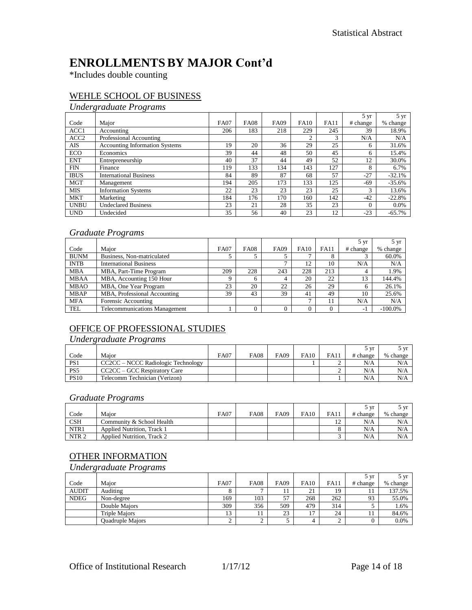## **ENROLLMENTSBY MAJOR Cont'd**

\*Includes double counting

#### WEHLE SCHOOL OF BUSINESS

#### *Undergraduate Programs*

|                  |                                       |             |             |             |               |             | $5 \text{ yr}$ | $5 \mathrm{yr}$ |
|------------------|---------------------------------------|-------------|-------------|-------------|---------------|-------------|----------------|-----------------|
| Code             | Major                                 | <b>FA07</b> | <b>FA08</b> | <b>FA09</b> | <b>FA10</b>   | <b>FA11</b> | # change       | % change        |
| ACC1             | Accounting                            | 206         | 183         | 218         | 229           | 245         | 39             | 18.9%           |
| ACC <sub>2</sub> | Professional Accounting               |             |             |             | $\mathcal{L}$ | 3           | N/A            | N/A             |
| AIS              | <b>Accounting Information Systems</b> | 19          | 20          | 36          | 29            | 25          | 6              | 31.6%           |
| <b>ECO</b>       | Economics                             | 39          | 44          | 48          | 50            | 45          | 6              | 15.4%           |
| <b>ENT</b>       | Entrepreneurship                      | 40          | 37          | 44          | 49            | 52          | 12             | 30.0%           |
| <b>FIN</b>       | Finance                               | 119         | 133         | 134         | 143           | 127         | 8              | 6.7%            |
| <b>IBUS</b>      | <b>International Business</b>         | 84          | 89          | 87          | 68            | 57          | $-27$          | $-32.1%$        |
| <b>MGT</b>       | Management                            | 194         | 205         | 173         | 133           | 125         | -69            | $-35.6%$        |
| <b>MIS</b>       | <b>Information Systems</b>            | 22          | 23          | 23          | 23            | 25          | 3              | 13.6%           |
| <b>MKT</b>       | Marketing                             | 184         | 176         | 170         | 160           | 142         | $-42$          | $-22.8%$        |
| <b>UNBU</b>      | <b>Undeclared Business</b>            | 23          | 21          | 28          | 35            | 23          | $\Omega$       | 0.0%            |
| <b>UND</b>       | Undecided                             | 35          | 56          | 40          | 23            | 12          | $-23$          | $-65.7%$        |

#### *Graduate Programs*

|             |                                      |             |             |             |             |             | $5 \text{ yr}$ | $5 \text{ yr}$ |
|-------------|--------------------------------------|-------------|-------------|-------------|-------------|-------------|----------------|----------------|
| Code        | Major                                | <b>FA07</b> | <b>FA08</b> | <b>FA09</b> | <b>FA10</b> | <b>FA11</b> | # change       | % change       |
| <b>BUNM</b> | Business, Non-matriculated           |             |             |             |             |             |                | 60.0%          |
| <b>INTB</b> | <b>International Business</b>        |             |             | −           | 12          | 10          | N/A            | N/A            |
| <b>MBA</b>  | MBA, Part-Time Program               | 209         | 228         | 243         | 228         | 213         | 4              | 1.9%           |
| <b>MBAA</b> | MBA, Accounting 150 Hour             | Q           | 6           | 4           | 20          | 22          | 13             | 144.4%         |
| <b>MBAO</b> | MBA, One Year Program                | 23          | 20          | 22          | 26          | 29          | 6              | 26.1%          |
| <b>MBAP</b> | MBA, Professional Accounting         | 39          | 43          | 39          | 41          | 49          | 10             | 25.6%          |
| <b>MFA</b>  | Forensic Accounting                  |             |             |             |             | 11          | N/A            | N/A            |
| <b>TEL</b>  | <b>Telecommunications Management</b> |             |             | $\Omega$    |             | $\Omega$    | - 1            | $-100.0\%$     |

#### OFFICE OF PROFESSIONAL STUDIES

#### *Undergraduate Programs*

|                 |                                    |             |             |             |             |             | 5 vr     | $\sqrt{V}$ |
|-----------------|------------------------------------|-------------|-------------|-------------|-------------|-------------|----------|------------|
| Code            | Maior                              | <b>FA07</b> | <b>FA08</b> | <b>FA09</b> | <b>FA10</b> | <b>FA11</b> | # change | % change   |
| PS1             | CC2CC – NCCC Radiologic Technology |             |             |             |             |             | N/A      | N/A        |
| PS <sub>5</sub> | CC2CC – GCC Respiratory Care       |             |             |             |             |             | N/A      | N/A        |
| <b>PS10</b>     | Telecomm Technician (Verizon)      |             |             |             |             |             | N/A      | N/A        |

#### *Graduate Programs*

|                  |                                   |             |             |      |             |              | 5 vr     | ጎ vr     |
|------------------|-----------------------------------|-------------|-------------|------|-------------|--------------|----------|----------|
| Code             | Maior                             | <b>FA07</b> | <b>FA08</b> | FA09 | <b>FA10</b> | <b>FA11</b>  | # change | % change |
| <b>CSH</b>       | Community & School Health         |             |             |      |             | $1^{\wedge}$ | N/A      | N/A      |
| NTR1             | Applied Nutrition, Track 1        |             |             |      |             |              | N/A      | N/A      |
| NTR <sub>2</sub> | <b>Applied Nutrition. Track 2</b> |             |             |      |             |              | N/A      | N/A      |

#### OTHER INFORMATION

*Undergraduate Programs*

|              |                         |             |                |                |             |             | 5 vr     | 5 yr     |
|--------------|-------------------------|-------------|----------------|----------------|-------------|-------------|----------|----------|
| Code         | Maior                   | <b>FA07</b> | <b>FA08</b>    | <b>FA09</b>    | <b>FA10</b> | <b>FA11</b> | # change | % change |
| <b>AUDIT</b> | Auditing                |             | $\overline{ }$ | $\overline{1}$ | 21          | 19          | 11       | 137.5%   |
| <b>NDEG</b>  | Non-degree              | 169         | 103            | 57             | 268         | 262         | 93       | 55.0%    |
|              | Double Maiors           | 309         | 356            | 509            | 479         | 314         |          | 1.6%     |
|              | <b>Triple Majors</b>    | IJ          | 11             | 23             | רו          | 24          | 11       | 84.6%    |
|              | <b>Ouadruple Majors</b> |             | ∼              |                |             |             |          | 0.0%     |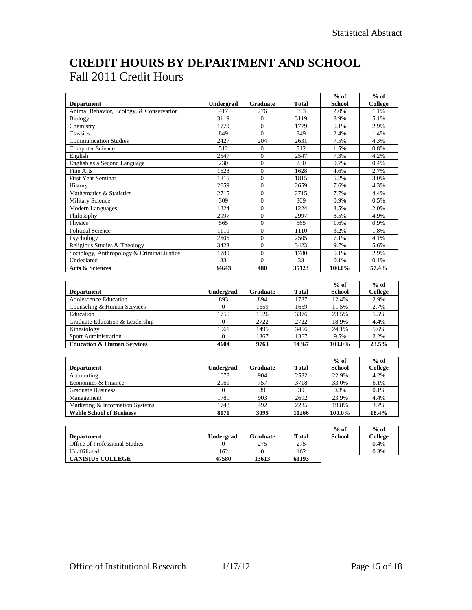## **CREDIT HOURS BY DEPARTMENT AND SCHOOL** Fall 2011 Credit Hours

|                                            |                        |                  |                  | $%$ of        | $%$ of          |
|--------------------------------------------|------------------------|------------------|------------------|---------------|-----------------|
| <b>Department</b>                          | Undergrad              | Graduate         | Total            | <b>School</b> | <b>College</b>  |
| Animal Behavior, Ecology, & Conservation   | 417                    | 276              | 693              | 2.0%          | 1.1%            |
| <b>Biology</b>                             | 3119                   | $\mathbf{0}$     | 3119             | 8.9%          | 5.1%            |
| Chemistry                                  | 1779                   | $\overline{0}$   | 1779             | 5.1%          | 2.9%            |
| Classics                                   | 849                    | $\overline{0}$   | 849              | 2.4%          | 1.4%            |
| <b>Communication Studies</b>               | 2427                   | 204              | 2631             | 7.5%          | 4.3%            |
| Computer Science                           | $\overline{512}$       | $\mathbf{0}$     | $\overline{512}$ | 1.5%          | 0.8%            |
| English                                    | 2547                   | $\mathbf{0}$     | 2547             | 7.3%          | 4.2%            |
| English as a Second Language               | $\overline{230}$       | $\Omega$         | 230              | 0.7%          | 0.4%            |
| <b>Fine Arts</b>                           | 1628                   | $\mathbf{0}$     | 1628             | 4.6%          | 2.7%            |
| <b>First Year Seminar</b>                  | 1815                   | $\theta$         | 1815             | 5.2%          | 3.0%            |
| History                                    | 2659                   | $\overline{0}$   | 2659             | 7.6%          | 4.3%            |
| Mathematics & Statistics                   | 2715                   | $\mathbf{0}$     | 2715             | 7.7%          | 4.4%            |
| <b>Military Science</b>                    | 309                    | $\Omega$         | 309              | 0.9%          | 0.5%            |
| Modern Languages                           | 1224                   | $\boldsymbol{0}$ | 1224             | 3.5%          | 2.0%            |
| Philosophy                                 | 2997                   | $\Omega$         | 2997             | 8.5%          | 4.9%            |
| Physics                                    | 565                    | $\overline{0}$   | 565              | 1.6%          | 0.9%            |
| <b>Political Science</b>                   | 1110                   | $\mathbf{0}$     | 1110             | 3.2%          | 1.8%            |
| Psychology                                 | 2505                   | $\overline{0}$   | 2505             | 7.1%          | 4.1%            |
| Religious Studies & Theology               | 3423                   | $\overline{0}$   | 3423             | 9.7%          | 5.6%            |
| Sociology, Anthropology & Criminal Justice | 1780                   | $\Omega$         | 1780             | 5.1%          | 2.9%            |
| Undeclared                                 | $\overline{33}$        | $\Omega$         | $\overline{33}$  | 0.1%          | $0.1\%$         |
| <b>Arts &amp; Sciences</b>                 | 34643                  | 480              | 35123            | 100.0%        | 57.4%           |
|                                            |                        |                  |                  |               |                 |
|                                            |                        |                  |                  | $%$ of        | $%$ of          |
| <b>Department</b>                          | Undergrad.             | <b>Graduate</b>  | Total            | <b>School</b> | College         |
| <b>Adolescence Education</b>               | 893                    | 894              | 1787             | 12.4%         | 2.9%            |
| Counseling & Human Services                | $\mathbf{0}$           | 1659             | 1659             | 11.5%         | 2.7%            |
| Education                                  | 1750                   | 1626             | 3376             | 23.5%         | 5.5%            |
| Graduate Education & Leadership            | $\mathbf{0}$           | 2722             | 2722             | 18.9%         | 4.4%            |
| Kinesiology                                | 1961                   | 1495             | 3456             | 24.1%         | 5.6%            |
| Sport Administration                       | $\Omega$               | 1367             | 1367             | 9.5%          | 2.2%            |
| <b>Education &amp; Human Services</b>      | 4604                   | 9763             | 14367            | 100.0%        | 23.5%           |
|                                            |                        |                  |                  |               |                 |
|                                            |                        |                  |                  | $%$ of        | $%$ of          |
| <b>Department</b>                          | Undergrad.             | <b>Graduate</b>  | <b>Total</b>     | <b>School</b> | College         |
| Accounting                                 | 1678                   | 904              | 2582             | 22.9%         | 4.2%            |
| Economics & Finance                        | 2961                   | 757              | 3718             | 33.0%         | 6.1%            |
| <b>Graduate Business</b>                   | $\overline{0}$         | 39               | 39               | 0.3%          | $0.1\%$         |
| Management                                 | 1789                   | 903              | 2692             | 23.9%         | 4.4%            |
| Marketing & Information Systems            | 1743                   | 492              | 2235             | 19.8%         | 3.7%            |
| <b>Wehle School of Business</b>            | 8171                   | 3095             | 11266            | 100.0%        | 18.4%           |
|                                            |                        |                  |                  |               |                 |
|                                            |                        |                  |                  | $%$ of        | $%$ of          |
| <b>Department</b>                          |                        |                  |                  |               |                 |
|                                            |                        |                  |                  |               |                 |
| Office of Professional Studies             | Undergrad.<br>$\Omega$ | Graduate<br>275  | Total<br>275     | <b>School</b> | College<br>0.4% |

| Department                            | ∪ndergrad. | Graduate | Total | School | olleg |
|---------------------------------------|------------|----------|-------|--------|-------|
| <b>Office of Professional Studies</b> |            | 275      | 275   |        | 0.4%  |
| Unaffiliated                          | 162        |          | 162   |        | 0.3%  |
| <b>CANISIUS COLLEGE</b>               | 47580      | 13613    | 61193 |        |       |
|                                       |            |          |       |        |       |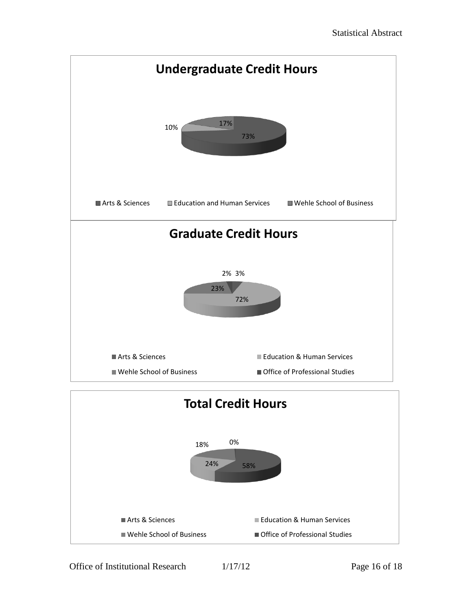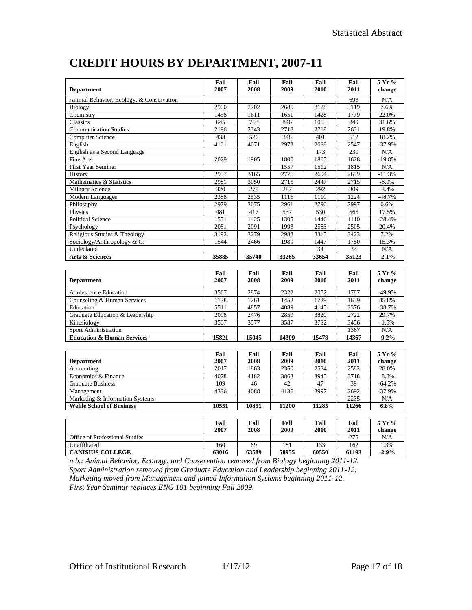| <b>Department</b>                        | Fall<br>2007 | Fall<br>2008 | Fall<br>2009 | Fall<br>2010 | Fall<br>2011 | 5 Yr %<br>change |
|------------------------------------------|--------------|--------------|--------------|--------------|--------------|------------------|
| Animal Behavior, Ecology, & Conservation |              |              |              |              | 693          | N/A              |
| Biology                                  | 2900         | 2702         | 2685         | 3128         | 3119         | 7.6%             |
| Chemistry                                | 1458         | 1611         | 1651         | 1428         | 1779         | 22.0%            |
| Classics                                 | 645          | 753          | 846          | 1053         | 849          | 31.6%            |
| <b>Communication Studies</b>             | 2196         | 2343         | 2718         | 2718         | 2631         | 19.8%            |
| <b>Computer Science</b>                  | 433          | 526          | 348          | 401          | 512          | 18.2%            |
| English                                  | 4101         | 4071         | 2973         | 2688         | 2547         | $-37.9%$         |
| English as a Second Language             |              |              |              | 173          | 230          | N/A              |
| <b>Fine Arts</b>                         | 2029         | 1905         | 1800         | 1865         | 1628         | $-19.8%$         |
| First Year Seminar                       |              |              | 1557         | 1512         | 1815         | N/A              |
| History                                  | 2997         | 3165         | 2776         | 2694         | 2659         | $-11.3%$         |
| Mathematics & Statistics                 | 2981         | 3050         | 2715         | 2447         | 2715         | $-8.9%$          |
| <b>Military Science</b>                  | 320          | 278          | 287          | 292          | 309          | $-3.4%$          |
| Modern Languages                         | 2388         | 2535         | 1116         | 1110         | 1224         | $-48.7%$         |
| Philosophy                               | 2979         | 3075         | 2961         | 2790         | 2997         | 0.6%             |
| Physics                                  | 481          | 417          | 537          | 530          | 565          | 17.5%            |
| Political Science                        | 1551         | 1425         | 1305         | 1446         | 1110         | $-28.4%$         |
| Psychology                               | 2081         | 2091         | 1993         | 2583         | 2505         | 20.4%            |
| Religious Studies & Theology             | 3192         | 3279         | 2982         | 3315         | 3423         | 7.2%             |
| Sociology/Anthropology & CJ              | 1544         | 2466         | 1989         | 1447         | 1780         | 15.3%            |
| Undeclared                               |              |              |              | 34           | 33           | N/A              |
| Arts & Sciences                          | 35885        | 35740        | 33265        | 33654        | 35123        | $-2.1%$          |
|                                          |              |              |              |              |              |                  |
|                                          | Fall         | Fall         | Fall         | Fall         | Fall         | 5 Yr %           |
| <b>Department</b>                        | 2007         | 2008         | 2009         | 2010         | 2011         | change           |
| <b>Adolescence Education</b>             | 3567         | 2874         | 2322         | 2052         | 1787         | $-49.9%$         |
| Counseling & Human Services              | 1138         | 1261         | 1452         | 1729         | 1659         | 45.8%            |
| Education                                | 5511         | 4857         | 4089         | 4145         | 3376         | $-38.7%$         |
| Graduate Education & Leadership          | 2098         | 2476         | 2859         | 3820         | 2722         | 29.7%            |
| Kinesiology                              | 3507         | 3577         | 3587         | 3732         | 3456         | $-1.5%$          |
| <b>Sport Administration</b>              |              |              |              |              | 1367         | N/A              |
| <b>Education &amp; Human Services</b>    | 15821        | 15045        | 14309        | 15478        | 14367        | $-9.2%$          |
|                                          |              |              |              |              |              |                  |
|                                          | Fall         | Fall         | Fall         | Fall         | Fall         | 5 Yr %           |
| <b>Department</b>                        | 2007         | 2008         | 2009         | 2010         | 2011         | change           |
| Accounting                               | 2017         | 1863         | 2350         | 2534         | 2582         | 28.0%            |
| Economics & Finance                      | 4078         | 4182         | 3868         | 3945         | 3718         | $-8.8%$          |
| <b>Graduate Business</b>                 | 109          | 46           | 42           | 47           | 39           | $-64.2%$         |
| Management                               | 4336         | 4088         | 4136         | 3997         | 2692         | $-37.9%$         |
| Marketing & Information Systems          |              |              |              |              | 2235         | N/A              |
| <b>Wehle School of Business</b>          | 10551        | 10851        | 11200        | 11285        | 11266        | 6.8%             |
|                                          |              |              |              |              |              |                  |
|                                          | Fall         | Fall         | Fall         | Fall         | Fall         | 5 Yr %           |
|                                          | 2007         | 2008         | 2009         | 2010         | 2011         | change           |
| Office of Professional Studies           |              |              |              |              | 275          | N/A              |

### **CREDIT HOURS BY DEPARTMENT, 2007-11**

**CANISIUS COLLEGE 63016 63589 58955 60550 61193 -2.9%** *n.b.: Animal Behavior, Ecology, and Conservation removed from Biology beginning 2011-12. Sport Administration removed from Graduate Education and Leadership beginning 2011-12. Marketing moved from Management and joined Information Systems beginning 2011-12. First Year Seminar replaces ENG 101 beginning Fall 2009.*

Unaffiliated 160 160 169 181 133 162 1.3%